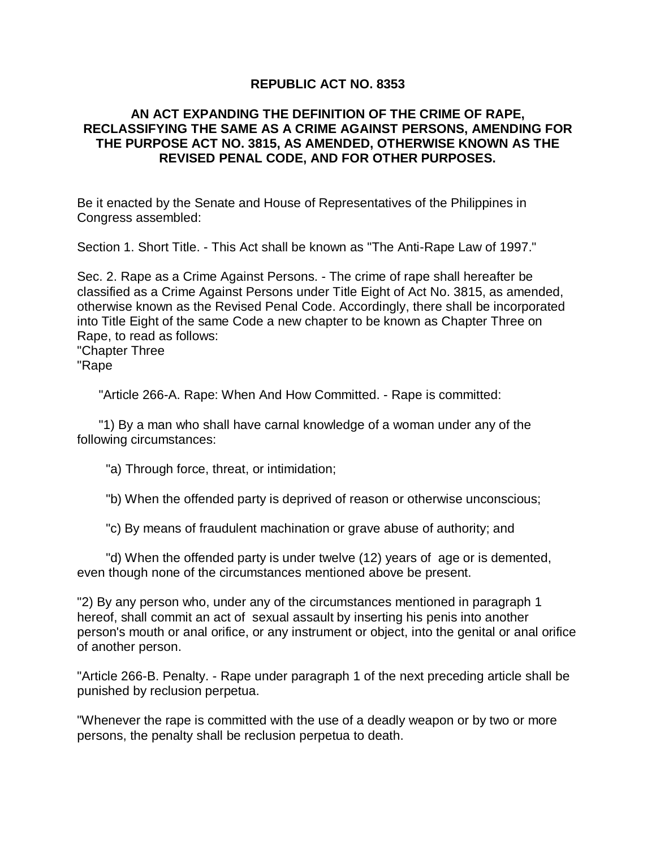## **REPUBLIC ACT NO. 8353**

## **AN ACT EXPANDING THE DEFINITION OF THE CRIME OF RAPE, RECLASSIFYING THE SAME AS A CRIME AGAINST PERSONS, AMENDING FOR THE PURPOSE ACT NO. 3815, AS AMENDED, OTHERWISE KNOWN AS THE REVISED PENAL CODE, AND FOR OTHER PURPOSES.**

Be it enacted by the Senate and House of Representatives of the Philippines in Congress assembled:

Section 1. Short Title. - This Act shall be known as "The Anti-Rape Law of 1997."

Sec. 2. Rape as a Crime Against Persons. - The crime of rape shall hereafter be classified as a Crime Against Persons under Title Eight of Act No. 3815, as amended, otherwise known as the Revised Penal Code. Accordingly, there shall be incorporated into Title Eight of the same Code a new chapter to be known as Chapter Three on Rape, to read as follows:

"Chapter Three "Rape

"Article 266-A. Rape: When And How Committed. - Rape is committed:

 "1) By a man who shall have carnal knowledge of a woman under any of the following circumstances:

"a) Through force, threat, or intimidation;

"b) When the offended party is deprived of reason or otherwise unconscious;

"c) By means of fraudulent machination or grave abuse of authority; and

 "d) When the offended party is under twelve (12) years of age or is demented, even though none of the circumstances mentioned above be present.

"2) By any person who, under any of the circumstances mentioned in paragraph 1 hereof, shall commit an act of sexual assault by inserting his penis into another person's mouth or anal orifice, or any instrument or object, into the genital or anal orifice of another person.

"Article 266-B. Penalty. - Rape under paragraph 1 of the next preceding article shall be punished by reclusion perpetua.

"Whenever the rape is committed with the use of a deadly weapon or by two or more persons, the penalty shall be reclusion perpetua to death.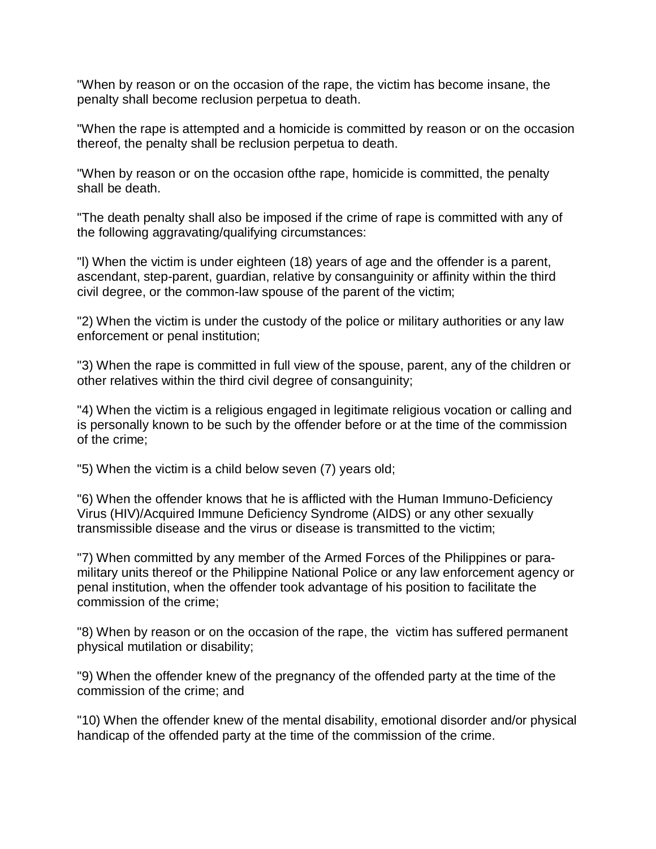"When by reason or on the occasion of the rape, the victim has become insane, the penalty shall become reclusion perpetua to death.

"When the rape is attempted and a homicide is committed by reason or on the occasion thereof, the penalty shall be reclusion perpetua to death.

"When by reason or on the occasion ofthe rape, homicide is committed, the penalty shall be death.

"The death penalty shall also be imposed if the crime of rape is committed with any of the following aggravating/qualifying circumstances:

"l) When the victim is under eighteen (18) years of age and the offender is a parent, ascendant, step-parent, guardian, relative by consanguinity or affinity within the third civil degree, or the common-law spouse of the parent of the victim;

"2) When the victim is under the custody of the police or military authorities or any law enforcement or penal institution;

"3) When the rape is committed in full view of the spouse, parent, any of the children or other relatives within the third civil degree of consanguinity;

"4) When the victim is a religious engaged in legitimate religious vocation or calling and is personally known to be such by the offender before or at the time of the commission of the crime;

"5) When the victim is a child below seven (7) years old;

"6) When the offender knows that he is afflicted with the Human Immuno-Deficiency Virus (HIV)/Acquired Immune Deficiency Syndrome (AIDS) or any other sexually transmissible disease and the virus or disease is transmitted to the victim;

"7) When committed by any member of the Armed Forces of the Philippines or paramilitary units thereof or the Philippine National Police or any law enforcement agency or penal institution, when the offender took advantage of his position to facilitate the commission of the crime;

"8) When by reason or on the occasion of the rape, the victim has suffered permanent physical mutilation or disability;

"9) When the offender knew of the pregnancy of the offended party at the time of the commission of the crime; and

"10) When the offender knew of the mental disability, emotional disorder and/or physical handicap of the offended party at the time of the commission of the crime.